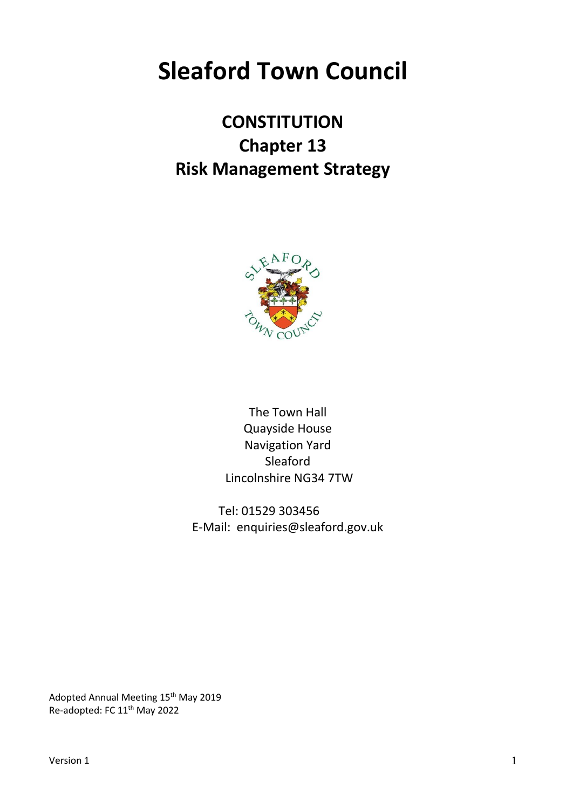# **Sleaford Town Council**

# **CONSTITUTION Chapter 13 Risk Management Strategy**



The Town Hall Quayside House Navigation Yard Sleaford Lincolnshire NG34 7TW

Tel: 01529 303456 E-Mail: enquiries@sleaford.gov.uk

Adopted Annual Meeting 15<sup>th</sup> May 2019 Re-adopted: FC 11<sup>th</sup> May 2022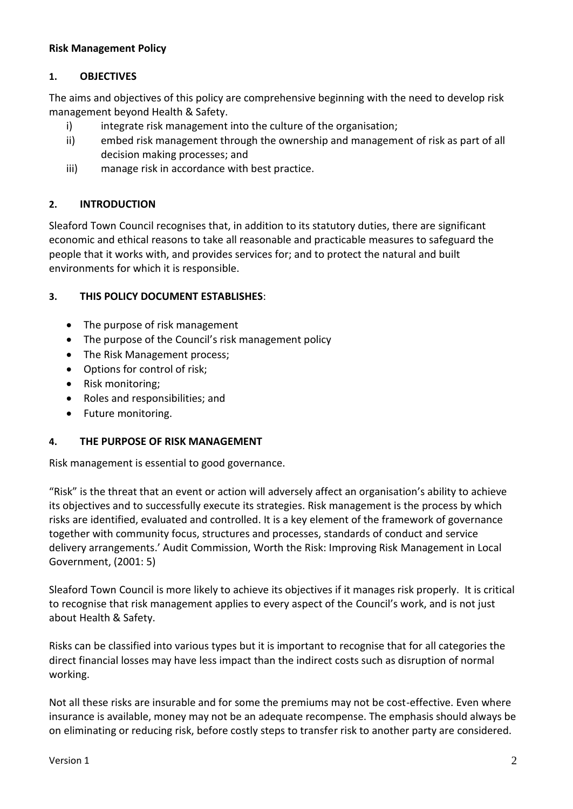#### **Risk Management Policy**

#### **1. OBJECTIVES**

The aims and objectives of this policy are comprehensive beginning with the need to develop risk management beyond Health & Safety.

- i) integrate risk management into the culture of the organisation;
- ii) embed risk management through the ownership and management of risk as part of all decision making processes; and
- iii) manage risk in accordance with best practice.

#### **2. INTRODUCTION**

Sleaford Town Council recognises that, in addition to its statutory duties, there are significant economic and ethical reasons to take all reasonable and practicable measures to safeguard the people that it works with, and provides services for; and to protect the natural and built environments for which it is responsible.

#### **3. THIS POLICY DOCUMENT ESTABLISHES**:

- The purpose of risk management
- The purpose of the Council's risk management policy
- The Risk Management process;
- Options for control of risk;
- Risk monitoring;
- Roles and responsibilities; and
- Future monitoring.

#### **4. THE PURPOSE OF RISK MANAGEMENT**

Risk management is essential to good governance.

"Risk" is the threat that an event or action will adversely affect an organisation's ability to achieve its objectives and to successfully execute its strategies. Risk management is the process by which risks are identified, evaluated and controlled. It is a key element of the framework of governance together with community focus, structures and processes, standards of conduct and service delivery arrangements.' Audit Commission, Worth the Risk: Improving Risk Management in Local Government, (2001: 5)

Sleaford Town Council is more likely to achieve its objectives if it manages risk properly. It is critical to recognise that risk management applies to every aspect of the Council's work, and is not just about Health & Safety.

Risks can be classified into various types but it is important to recognise that for all categories the direct financial losses may have less impact than the indirect costs such as disruption of normal working.

Not all these risks are insurable and for some the premiums may not be cost-effective. Even where insurance is available, money may not be an adequate recompense. The emphasis should always be on eliminating or reducing risk, before costly steps to transfer risk to another party are considered.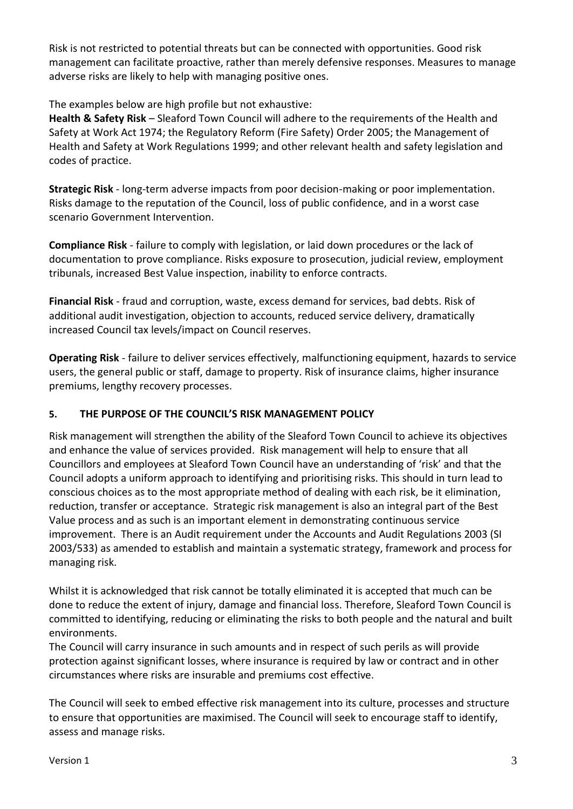Risk is not restricted to potential threats but can be connected with opportunities. Good risk management can facilitate proactive, rather than merely defensive responses. Measures to manage adverse risks are likely to help with managing positive ones.

The examples below are high profile but not exhaustive:

**Health & Safety Risk** – Sleaford Town Council will adhere to the requirements of the Health and Safety at Work Act 1974; the Regulatory Reform (Fire Safety) Order 2005; the Management of Health and Safety at Work Regulations 1999; and other relevant health and safety legislation and codes of practice.

**Strategic Risk** - long-term adverse impacts from poor decision-making or poor implementation. Risks damage to the reputation of the Council, loss of public confidence, and in a worst case scenario Government Intervention.

**Compliance Risk** - failure to comply with legislation, or laid down procedures or the lack of documentation to prove compliance. Risks exposure to prosecution, judicial review, employment tribunals, increased Best Value inspection, inability to enforce contracts.

**Financial Risk** - fraud and corruption, waste, excess demand for services, bad debts. Risk of additional audit investigation, objection to accounts, reduced service delivery, dramatically increased Council tax levels/impact on Council reserves.

**Operating Risk** - failure to deliver services effectively, malfunctioning equipment, hazards to service users, the general public or staff, damage to property. Risk of insurance claims, higher insurance premiums, lengthy recovery processes.

# **5. THE PURPOSE OF THE COUNCIL'S RISK MANAGEMENT POLICY**

Risk management will strengthen the ability of the Sleaford Town Council to achieve its objectives and enhance the value of services provided. Risk management will help to ensure that all Councillors and employees at Sleaford Town Council have an understanding of 'risk' and that the Council adopts a uniform approach to identifying and prioritising risks. This should in turn lead to conscious choices as to the most appropriate method of dealing with each risk, be it elimination, reduction, transfer or acceptance. Strategic risk management is also an integral part of the Best Value process and as such is an important element in demonstrating continuous service improvement. There is an Audit requirement under the Accounts and Audit Regulations 2003 (SI 2003/533) as amended to establish and maintain a systematic strategy, framework and process for managing risk.

Whilst it is acknowledged that risk cannot be totally eliminated it is accepted that much can be done to reduce the extent of injury, damage and financial loss. Therefore, Sleaford Town Council is committed to identifying, reducing or eliminating the risks to both people and the natural and built environments.

The Council will carry insurance in such amounts and in respect of such perils as will provide protection against significant losses, where insurance is required by law or contract and in other circumstances where risks are insurable and premiums cost effective.

The Council will seek to embed effective risk management into its culture, processes and structure to ensure that opportunities are maximised. The Council will seek to encourage staff to identify, assess and manage risks.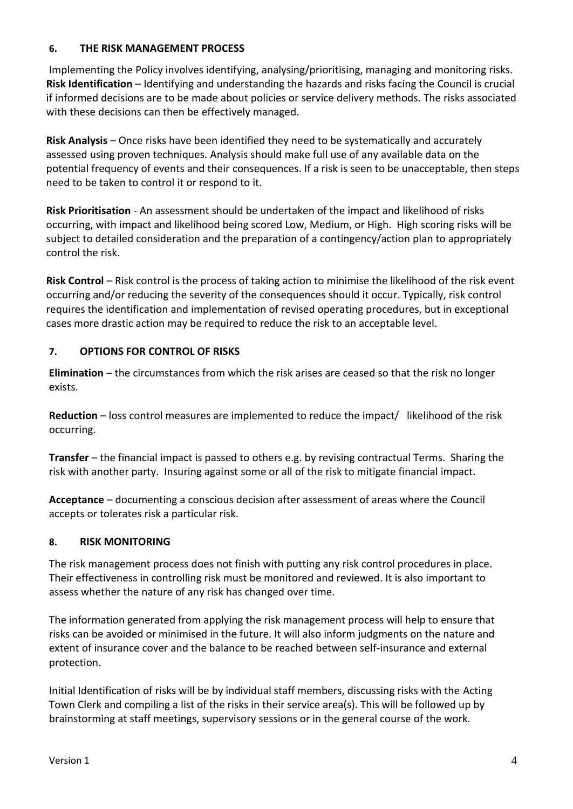#### **6. THE RISK MANAGEMENT PROCESS**

Implementing the Policy involves identifying, analysing/prioritising, managing and monitoring risks. **Risk Identification** – Identifying and understanding the hazards and risks facing the Council is crucial if informed decisions are to be made about policies or service delivery methods. The risks associated with these decisions can then be effectively managed.

**Risk Analysis** – Once risks have been identified they need to be systematically and accurately assessed using proven techniques. Analysis should make full use of any available data on the potential frequency of events and their consequences. If a risk is seen to be unacceptable, then steps need to be taken to control it or respond to it.

**Risk Prioritisation** - An assessment should be undertaken of the impact and likelihood of risks occurring, with impact and likelihood being scored Low, Medium, or High. High scoring risks will be subject to detailed consideration and the preparation of a contingency/action plan to appropriately control the risk.

**Risk Control** – Risk control is the process of taking action to minimise the likelihood of the risk event occurring and/or reducing the severity of the consequences should it occur. Typically, risk control requires the identification and implementation of revised operating procedures, but in exceptional cases more drastic action may be required to reduce the risk to an acceptable level.

# **7. OPTIONS FOR CONTROL OF RISKS**

**Elimination** – the circumstances from which the risk arises are ceased so that the risk no longer exists.

**Reduction** – loss control measures are implemented to reduce the impact/ likelihood of the risk occurring.

**Transfer** – the financial impact is passed to others e.g. by revising contractual Terms. Sharing the risk with another party. Insuring against some or all of the risk to mitigate financial impact.

**Acceptance** – documenting a conscious decision after assessment of areas where the Council accepts or tolerates risk a particular risk.

# **8. RISK MONITORING**

The risk management process does not finish with putting any risk control procedures in place. Their effectiveness in controlling risk must be monitored and reviewed. It is also important to assess whether the nature of any risk has changed over time.

The information generated from applying the risk management process will help to ensure that risks can be avoided or minimised in the future. It will also inform judgments on the nature and extent of insurance cover and the balance to be reached between self-insurance and external protection.

Initial Identification of risks will be by individual staff members, discussing risks with the Acting Town Clerk and compiling a list of the risks in their service area(s). This will be followed up by brainstorming at staff meetings, supervisory sessions or in the general course of the work.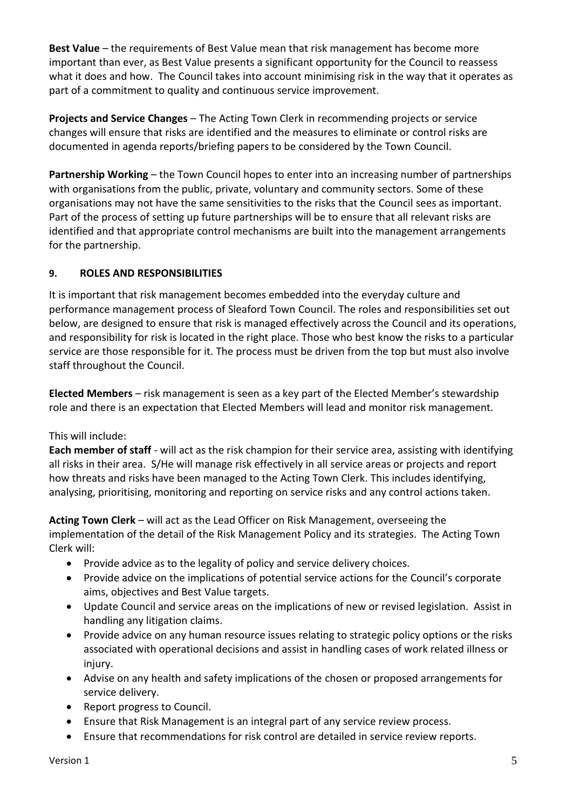**Best Value** – the requirements of Best Value mean that risk management has become more important than ever, as Best Value presents a significant opportunity for the Council to reassess what it does and how. The Council takes into account minimising risk in the way that it operates as part of a commitment to quality and continuous service improvement.

**Projects and Service Changes** – The Acting Town Clerk in recommending projects or service changes will ensure that risks are identified and the measures to eliminate or control risks are documented in agenda reports/briefing papers to be considered by the Town Council.

**Partnership Working** – the Town Council hopes to enter into an increasing number of partnerships with organisations from the public, private, voluntary and community sectors. Some of these organisations may not have the same sensitivities to the risks that the Council sees as important. Part of the process of setting up future partnerships will be to ensure that all relevant risks are identified and that appropriate control mechanisms are built into the management arrangements for the partnership.

# **9. ROLES AND RESPONSIBILITIES**

It is important that risk management becomes embedded into the everyday culture and performance management process of Sleaford Town Council. The roles and responsibilities set out below, are designed to ensure that risk is managed effectively across the Council and its operations, and responsibility for risk is located in the right place. Those who best know the risks to a particular service are those responsible for it. The process must be driven from the top but must also involve staff throughout the Council.

**Elected Members** – risk management is seen as a key part of the Elected Member's stewardship role and there is an expectation that Elected Members will lead and monitor risk management.

# This will include:

**Each member of staff** - will act as the risk champion for their service area, assisting with identifying all risks in their area. S/He will manage risk effectively in all service areas or projects and report how threats and risks have been managed to the Acting Town Clerk. This includes identifying, analysing, prioritising, monitoring and reporting on service risks and any control actions taken.

**Acting Town Clerk** – will act as the Lead Officer on Risk Management, overseeing the implementation of the detail of the Risk Management Policy and its strategies. The Acting Town Clerk will:

- Provide advice as to the legality of policy and service delivery choices.
- Provide advice on the implications of potential service actions for the Council's corporate aims, objectives and Best Value targets.
- Update Council and service areas on the implications of new or revised legislation. Assist in handling any litigation claims.
- Provide advice on any human resource issues relating to strategic policy options or the risks associated with operational decisions and assist in handling cases of work related illness or injury.
- Advise on any health and safety implications of the chosen or proposed arrangements for service delivery.
- Report progress to Council.
- Ensure that Risk Management is an integral part of any service review process.
- Ensure that recommendations for risk control are detailed in service review reports.